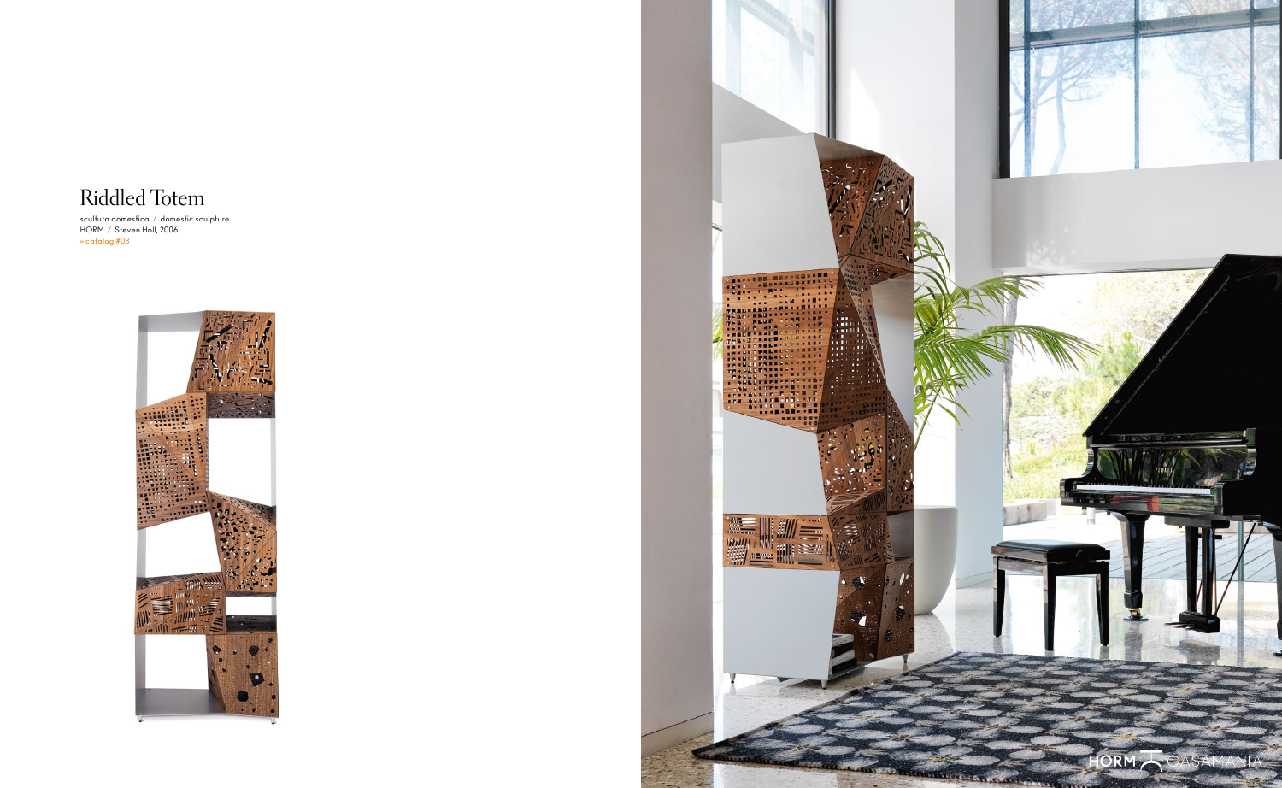## Riddled Totem

scultura domestica / domestic sculpture HORM / Steven Holl, 2006 » catalog #03